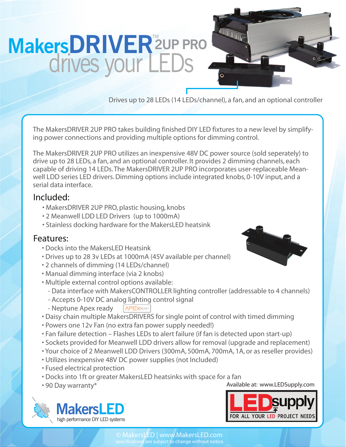## **MakersDRIVER**<sup>™</sup><sub>■</sub> drives your LE

Drives up to 28 LEDs (14 LEDs/channel), a fan, and an optional controller

**The Contract of the Contract of the Contract of the Contract of the Contract of The Contract of The Contract o** 

The MakersDRIVER 2UP PRO takes building finished DIY LED fixtures to a new level by simplifying power connections and providing multiple options for dimming control.

The MakersDRIVER 2UP PRO utilizes an inexpensive 48V DC power source (sold seperately) to drive up to 28 LEDs, a fan, and an optional controller. It provides 2 dimming channels, each capable of driving 14 LEDs. The MakersDRIVER 2UP PRO incorporates user-replaceable Meanwell LDD series LED drivers. Dimming options include integrated knobs, 0-10V input, and a serial data interface.

## Included:

- MakersDRIVER 2UP PRO, plastic housing, knobs
- 2 Meanwell LDD LED Drivers (up to 1000mA)
- Stainless docking hardware for the MakersLED heatsink

## Features:

- Docks into the MakersLED Heatsink
- Drives up to 28 3v LEDs at 1000mA (45V available per channel)
- 2 channels of dimming (14 LEDs/channel)
- Manual dimming interface (via 2 knobs)
- Multiple external control options available:
	- Data interface with MakersCONTROLLER lighting controller (addressable to 4 channels)
	- Accepts 0-10V DC analog lighting control signal
	- Neptune Apex ready APEXREADY
- Daisy chain multiple MakersDRIVERS for single point of control with timed dimming
- Powers one 12v Fan (no extra fan power supply needed!)
- Fan failure detection Flashes LEDs to alert failure (if fan is detected upon start-up)
- Sockets provided for Meanwell LDD drivers allow for removal (upgrade and replacement)
- Your choice of 2 Meanwell LDD Drivers (300mA, 500mA, 700mA, 1A, or as reseller provides)
- Utilizes inexpensive 48V DC power supplies (not Included)
- Fused electrical protection
- Docks into 1ft or greater MakersLED heatsinks with space for a fan
-